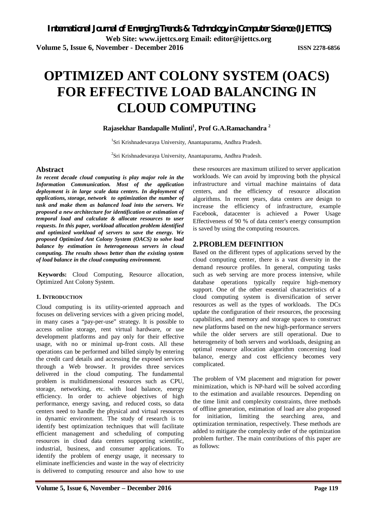# **OPTIMIZED ANT COLONY SYSTEM (OACS) FOR EFFECTIVE LOAD BALANCING IN CLOUD COMPUTING**

# **Rajasekhar Bandapalle Mulinti<sup>1</sup> , Prof G.A.Ramachandra <sup>2</sup>**

<sup>1</sup>Sri Krishnadevaraya University, Anantapuramu, Andhra Pradesh.

<sup>2</sup>Sri Krishnadevaraya University, Anantapuramu, Andhra Pradesh.

#### **Abstract**

*In recent decade cloud computing is play major role in the Information Communication. Most of the application deployment is in large scale data centers. In deployment of applications, storage, network to optimization the number of task and make them as balanced load into the servers. We proposed a new architecture for identification or estimation of temporal load and calculate & allocate resources to user requests. In this paper, workload allocation problem identified and optimized workload of servers to save the energy. We proposed Optimized Ant Colony System (OACS) to solve load balance by estimation in heterogeneous servers in cloud computing. The results shows better than the existing system of load balance in the cloud computing environment.*

**Keywords:** Cloud Computing, Resource allocation, Optimized Ant Colony System.

#### **1. INTRODUCTION**

Cloud computing is its utility-oriented approach and focuses on delivering services with a given pricing model, in many cases a "pay-per-use" strategy. It is possible to access online storage, rent virtual hardware, or use development platforms and pay only for their effective usage, with no or minimal up-front costs. All these operations can be performed and billed simply by entering the credit card details and accessing the exposed services through a Web browser. It provides three services delivered in the cloud computing. The fundamental problem is multidimensional resources such as CPU, storage, networking, etc. with load balance, energy efficiency. In order to achieve objectives of high performance, energy saving, and reduced costs, so data centers need to handle the physical and virtual resources in dynamic environment. The study of research is to identify best optimization techniques that will facilitate efficient management and scheduling of computing resources in cloud data centers supporting scientific, industrial, business, and consumer applications. To identify the problem of energy usage, it necessary to eliminate inefficiencies and waste in the way of electricity is delivered to computing resource and also how to use

these resources are maximum utilized to server application workloads. We can avoid by improving both the physical infrastructure and virtual machine maintains of data centers, and the efficiency of resource allocation algorithms. In recent years, data centers are design to increase the efficiency of infrastructure, example Facebook, datacenter is achieved a Power Usage Effectiveness of 90 % of data center's energy consumption is saved by using the computing resources.

### **2.PROBLEM DEFINITION**

Based on the different types of applications served by the cloud computing center, there is a vast diversity in the demand resource profiles. In general, computing tasks such as web serving are more process intensive, while database operations typically require high-memory support. One of the other essential characteristics of a cloud computing system is diversification of server resources as well as the types of workloads. The DCs update the configuration of their resources, the processing capabilities, and memory and storage spaces to construct new platforms based on the new high-performance servers while the older servers are still operational. Due to heterogeneity of both servers and workloads, designing an optimal resource allocation algorithm concerning load balance, energy and cost efficiency becomes very complicated.

The problem of VM placement and migration for power minimization, which is NP-hard will be solved according to the estimation and available resources. Depending on the time limit and complexity constraints, three methods of offline generation, estimation of load are also proposed for initiation, limiting the searching area, and optimization termination, respectively. These methods are added to mitigate the complexity order of the optimization problem further. The main contributions of this paper are as follows: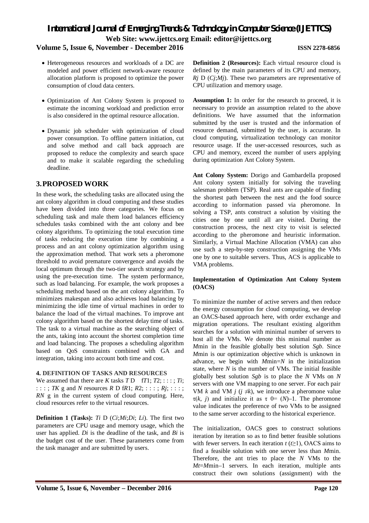# *International Journal of Emerging Trends & Technology in Computer Science (IJETTCS)* **Web Site: www.ijettcs.org Email: editor@ijettcs.org**

# **Volume 5, Issue 6, November - December 2016 ISSN 2278-6856**

- Heterogeneous resources and workloads of a DC are modeled and power efficient network-aware resource allocation platform is proposed to optimize the power consumption of cloud data centers.
- Optimization of Ant Colony System is proposed to estimate the incoming workload and prediction error is also considered in the optimal resource allocation.
- Dynamic job scheduler with optimization of cloud power consumption. To offline pattern initiation, cut and solve method and call back approach are proposed to reduce the complexity and search space and to make it scalable regarding the scheduling deadline.

# **3.PROPOSED WORK**

In these work, the scheduling tasks are allocated using the ant colony algorithm in cloud computing and these studies have been divided into three categories. We focus on scheduling task and male them load balances efficiency schedules tasks combined with the ant colony and bee colony algorithms. To optimizing the total execution time of tasks reducing the execution time by combining a process and an ant colony optimization algorithm using the approximation method. That work sets a pheromone threshold to avoid premature convergence and avoids the local optimum through the two-tier search strategy and by using the pre-execution time. The system performance, such as load balancing. For example, the work proposes a scheduling method based on the ant colony algorithm. To minimizes makespan and also achieves load balancing by minimizing the idle time of virtual machines in order to balance the load of the virtual machines. To improve ant colony algorithm based on the shortest delay time of tasks. The task to a virtual machine as the searching object of the ants, taking into account the shortest completion time and load balancing. The proposes a scheduling algorithm based on QoS constraints combined with GA and integration, taking into account both time and cost.

### **4. DEFINITION OF TASKS AND RESOURCES**

We assumed that there are *K* tasks  $TD$  f $T1$ ;  $T2$ ; :::;  $Ti$ ; : : : ; *TK* g and *N* resources *R* D f*R*1; *R*2; : : : ; *Rj*; : : : ; *RN* g in the current system of cloud computing. Here, cloud resources refer to the virtual resources.

**Definition 1 (Tasks):** *Ti* D (*Ci*;*Mi*;*Di*; *Li*). The first two parameters are CPU usage and memory usage, which the user has applied. *Di* is the deadline of the task, and *Bi* is the budget cost of the user. These parameters come from the task manager and are submitted by users.

**Definition 2 (Resources):** Each virtual resource cloud is defined by the main parameters of its CPU and memory, *Rj* D (*Cj*;*Mj*). These two parameters are representative of CPU utilization and memory usage.

**Assumption 1:** In order for the research to proceed, it is necessary to provide an assumption related to the above definitions. We have assumed that the information submitted by the user is trusted and the information of resource demand, submitted by the user, is accurate. In cloud computing, virtualization technology can monitor resource usage. If the user-accessed resources, such as CPU and memory, exceed the number of users applying during optimization Ant Colony System.

**Ant Colony System:** Dorigo and Gambardella proposed Ant colony system initially for solving the traveling salesman problem (TSP). Real ants are capable of finding the shortest path between the nest and the food source according to information passed via pheromone. In solving a TSP, ants construct a solution by visiting the cities one by one until all are visited. During the construction process, the next city to visit is selected according to the pheromone and heuristic information. Similarly, a Virtual Machine Allocation (VMA) can also use such a step-by-step construction assigning the VMs one by one to suitable servers. Thus, ACS is applicable to VMA problems.

#### **Implementation of Optimization Ant Colony System (OACS)**

To minimize the number of active servers and then reduce the energy consumption for cloud computing, we develop an OACS-based approach here, with order exchange and migration operations. The resultant existing algorithm searches for a solution with minimal number of servers to host all the VMs. We denote this minimal number as *M*min in the feasible globally best solution *Sgb*. Since *M*min is our optimization objective which is unknown in advance, we begin with *M*min=*N* in the initialization state, where *N* is the number of VMs. The initial feasible globally best solution *Sgb* is to place the *N* VMs on *N*  servers with one VM mapping to one server. For each pair VM  $k$  and VM  $j$  ( $j \neq k$ ), we introduce a pheromone value  $\tau(k, j)$  and initialize it as  $\tau$  0= (N)–1. The pheromone value indicates the preference of two VMs to be assigned to the same server according to the historical experience.

The initialization, OACS goes to construct solutions iteration by iteration so as to find better feasible solutions with fewer servers. In each iteration  $t$  ( $t \ge 1$ ), OACS aims to find a feasible solution with one server less than *M*min. Therefore, the ant tries to place the *N* VMs to the *Mt*=*M*min–1 servers. In each iteration, multiple ants construct their own solutions (assignment) with the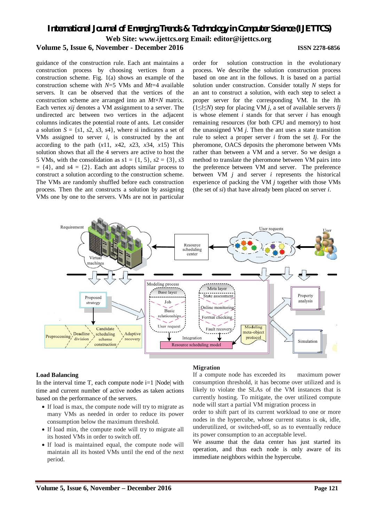# *International Journal of Emerging Trends & Technology in Computer Science (IJETTCS)* **Web Site: www.ijettcs.org Email: editor@ijettcs.org Volume 5, Issue 6, November - December 2016 ISSN 2278-6856**

guidance of the construction rule. Each ant maintains a construction process by choosing vertices from a construction scheme. Fig. 1(a) shows an example of the construction scheme with *N*=5 VMs and *Mt*=4 available servers. It can be observed that the vertices of the construction scheme are arranged into an *Mt*×*N* matrix. Each vertex *xij* denotes a VM assignment to a server. The undirected arc between two vertices in the adjacent columns indicates the potential route of ants. Let consider a solution  $S = \{s1, s2, s3, s4\}$ , where *s*i indicates a set of VMs assigned to server *i*, is constructed by the ant according to the path  $(x11, x42, x23, x34, x15)$  This solution shows that all the 4 servers are active to host the 5 VMs, with the consolidation as  $s1 = \{1, 5\}$ ,  $s2 = \{3\}$ ,  $s3$  $= \{4\}$ , and  $s4 = \{2\}$ . Each ant adopts similar process to construct a solution according to the construction scheme. The VMs are randomly shuffled before each construction process. Then the ant constructs a solution by assigning VMs one by one to the servers. VMs are not in particular

order for solution construction in the evolutionary process. We describe the solution construction process based on one ant in the follows. It is based on a partial solution under construction. Consider totally *N* steps for an ant to construct a solution, with each step to select a proper server for the corresponding VM. In the *l*th (1≤*l*≤*N*) step for placing VM *j*, a set of available servers *Ij*  is whose element *i* stands for that server *i* has enough remaining resources (for both CPU and memory) to host the unassigned VM *j*. Then the ant uses a state transition rule to select a proper server *i* from the set *Ij*. For the pheromone, OACS deposits the pheromone between VMs rather than between a VM and a server. So we design a method to translate the pheromone between VM pairs into the preference between VM and server. The preference between VM *j* and server *i* represents the historical experience of packing the VM *j* together with those VMs (the set of *si*) that have already been placed on server *i*.



#### **Load Balancing**

In the interval time  $T$ , each compute node i=1 |Node| with time and current number of active nodes as taken actions based on the performance of the servers.

- If load is max, the compute node will try to migrate as many VMs as needed in order to reduce its power consumption below the maximum threshold.
- If load min, the compute node will try to migrate all its hosted VMs in order to switch off.
- If load is maintained equal, the compute node will maintain all its hosted VMs until the end of the next period.

#### **Migration**

If a compute node has exceeded its maximum power consumption threshold, it has become over utilized and is likely to violate the SLAs of the VM instances that is currently hosting. To mitigate, the over utilized compute node will start a partial VM migration process in

order to shift part of its current workload to one or more nodes in the hypercube, whose current status is ok, idle, underutilized, or switched-off, so as to eventually reduce its power consumption to an acceptable level.

We assume that the data center has just started its operation, and thus each node is only aware of its immediate neighbors within the hypercube.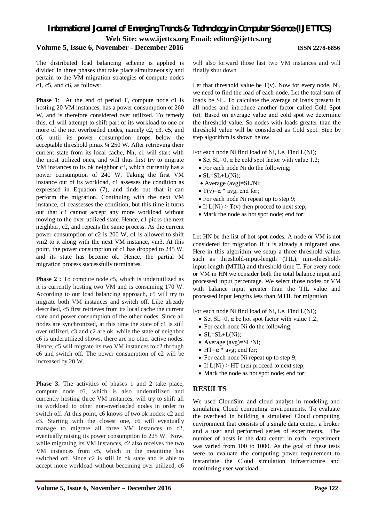# *International Journal of Emerging Trends & Technology in Computer Science (IJETTCS)* **Web Site: www.ijettcs.org Email: editor@ijettcs.org**

# **Volume 5, Issue 6, November - December 2016 ISSN 2278-6856**

The distributed load balancing scheme is applied is divided in three phases that take place simultaneously and pertain to the VM migration strategies of compute nodes c1, c5, and c6, as follows:

**Phase 1:** At the end of period T, compute node c1 is hosting 20 VM instances, has a power consumption of 260 W, and is therefore considered over utilized. To remedy this, c1 will attempt to shift part of its workload to one or more of the not overloaded nodes, namely c2, c3, c5, and c6, until its power consumption drops below the acceptable threshold pmax ¼ 250 W. After retrieving their current state from its local cache, Nh, c1 will start with the most utilized ones, and will thus first try to migrate VM instances to its ok neighbor c3, which currently has a power consumption of 240 W. Taking the first VM instance out of its workload, c1 assesses the condition as expressed in Equation (7), and finds out that it can perform the migration. Continuing with the next VM instance, c1 reassesses the condition, but this time it turns out that c3 cannot accept any more workload without moving to the over utilized state. Hence, c1 picks the next neighbor, c2, and repeats the same process. As the current power consumption of c2 is 200 W, c1 is allowed to shift vm2 to it along with the next VM instance, vm3. At this point, the power consumption of c1 has dropped to 245 W, and its state has become ok. Hence, the partial M migration process successfully terminates.

Phase 2 : To compute node c5, which is underutilized as it is currently hosting two VM and is consuming 170 W. According to our load balancing approach, c5 will try to migrate both VM instances and switch off. Like already described, c5 first retrieves from its local cache the current state and power consumption of the other nodes. Since all nodes are synchronized, at this time the state of c1 is still over utilized, c3 and c2 are ok, while the state of neighbor c6 is underutilized shows, there are no other active nodes. Hence, c5 will migrate its two VM instances to c2 through c6 and switch off. The power consumption of c2 will be increased by 20 W.

**Phase 3.** The activities of phases 1 and 2 take place, compute node c6, which is also underutilized and currently hosting three VM instances, will try to shift all its workload to other non-overloaded nodes in order to switch off. At this point, c6 knows of two ok nodes: c2 and c3. Starting with the closest one, c6 will eventually manage to migrate all three VM instances to c2, eventually raising its power consumption to 225 W. Now, while migrating its VM instances, c2 also receives the two VM instances from c5, which in the meantime has switched off. Since c2 is still in ok state and is able to accept more workload without becoming over utilized, c6 will also forward those last two VM instances and will finally shut down

Let that threshold value be  $T(v)$ . Now for every node, Ni, we need to find the load of each node. Let the total sum of loads be SL. To calculate the average of loads present in all nodes and introduce another factor called Cold Spot (α). Based on average value and cold spot we determine the threshold value. So nodes with loads greater than the threshold value will be considered as Cold spot. Step by step algorithm is shown below.

For each node Ni find load of Ni, i.e. Find L(Ni);

- Set SL=0,  $\alpha$  be cold spot factor with value 1.2;
- For each node Ni do the following;
- $\bullet$  SL=SL+L(Ni):
- Average (avg)=SL/Ni;
- T(v)= $\alpha$  \* avg; end for;
- For each node Ni repeat up to step 9;
- If  $L(Ni) > T(v)$  then proceed to next step;
- Mark the node as hot spot node; end for;

Let HN be the list of hot spot nodes. A node or VM is not considered for migration if it is already a migrated one. Here in this algorithm we setup a three threshold values such as threshold-input-length (TIL), min-thresholdinput-length (MTIL) and threshold time T. For every node or VM in HN we consider both the total balance input and processed input percentage. We select those nodes or VM with balance input greater than the TIL value and processed input lengths less than MTIL for migration

For each node Ni find load of Ni, i.e. Find L(Ni);

- Set SL=0,  $\alpha$  be hot spot factor with value 1.2;
- For each node Ni do the following;
- $\bullet$  SL=SL+L(Ni);
- Average (avg)=SL/Ni;
- HT= $\alpha$  \* avg; end for;
- For each node Ni repeat up to step 9:
- If  $L(Ni) > HT$  then proceed to next step;
- Mark the node as hot spot node; end for;

# **RESULTS**

We used CloudSim and cloud analyst in modeling and simulating Cloud computing environments. To evaluate the overhead in building a simulated Cloud computing environment that consists of a single data center, a broker and a user and performed series of experiments. The number of hosts in the data center in each experiment was varied from 100 to 1000. As the goal of these tests were to evaluate the computing power requirement to instantiate the Cloud simulation infrastructure and monitoring user workload.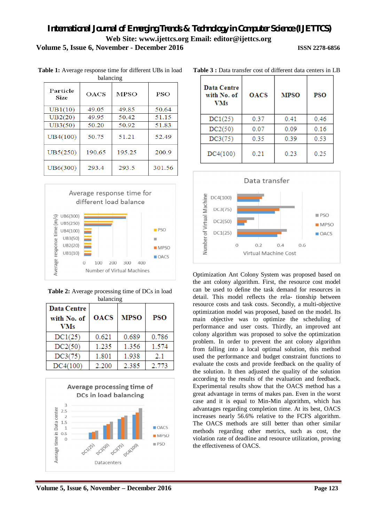| parancing               |             |             |            |  |  |
|-------------------------|-------------|-------------|------------|--|--|
| Particle<br><b>Size</b> | <b>OACS</b> | <b>MPSO</b> | <b>PSO</b> |  |  |
| UB1(10)                 | 49.05       | 49.85       | 50.64      |  |  |
| UB2(20)                 | 49.95       | 50.42       | 51.15      |  |  |
| UB3(50)                 | 50.20       | 50.92       | 51.83      |  |  |
| UB4(100)                | 50.75       | 51.21       | 52.49      |  |  |
| UB5(250)                | 190.65      | 195.25      | 200.9      |  |  |
| UB6(300)                | 293.4       | 293.5       | 301.56     |  |  |

**Table 1:** Average response time for different UBs in load balancing



**Table 2:** Average processing time of DCs in load balancing

| <b>Data Centre</b><br>with No. of<br>VMs | <b>OACS</b> | <b>MPSO</b> | <b>PSO</b> |
|------------------------------------------|-------------|-------------|------------|
| DC1(25)                                  | 0.621       | 0.689       | 0.786      |
| DC2(50)                                  | 1.235       | 1.356       | 1.574      |
| DC3(75)                                  | 1.801       | 1.938       | 2.1        |
| DC4(100)                                 | 2.200       | 2.385       | 2.773      |



| Data Centre<br>with No. of<br><b>VMs</b> | <b>OACS</b> | <b>MPSO</b> | <b>PSO</b> |
|------------------------------------------|-------------|-------------|------------|
| DC1(25)                                  | 0.37        | 0.41        | 0.46       |
| DC2(50)                                  | 0.07        | 0.09        | 0.16       |
| DC3(75)                                  | 0.35        | 0.39        | 0.53       |
| DC4(100)                                 | 0.21        | 0.23        | 0.25       |

**Table 3 :** Data transfer cost of different data centers in LB



Optimization Ant Colony System was proposed based on the ant colony algorithm. First, the resource cost model can be used to define the task demand for resources in detail. This model reflects the rela- tionship between resource costs and task costs. Secondly, a multi-objective optimization model was proposed, based on the model. Its main objective was to optimize the scheduling of performance and user costs. Thirdly, an improved ant colony algorithm was proposed to solve the optimization problem. In order to prevent the ant colony algorithm from falling into a local optimal solution, this method used the performance and budget constraint functions to evaluate the costs and provide feedback on the quality of the solution. It then adjusted the quality of the solution according to the results of the evaluation and feedback. Experimental results show that the OACS method has a great advantage in terms of makes pan. Even in the worst case and it is equal to Min-Min algorithm, which has advantages regarding completion time. At its best, OACS increases nearly 56.6% relative to the FCFS algorithm. The OACS methods are still better than other similar methods regarding other metrics, such as cost, the violation rate of deadline and resource utilization, proving the effectiveness of OACS.

**Volume 5, Issue 6, November – December 2016 Page 123**